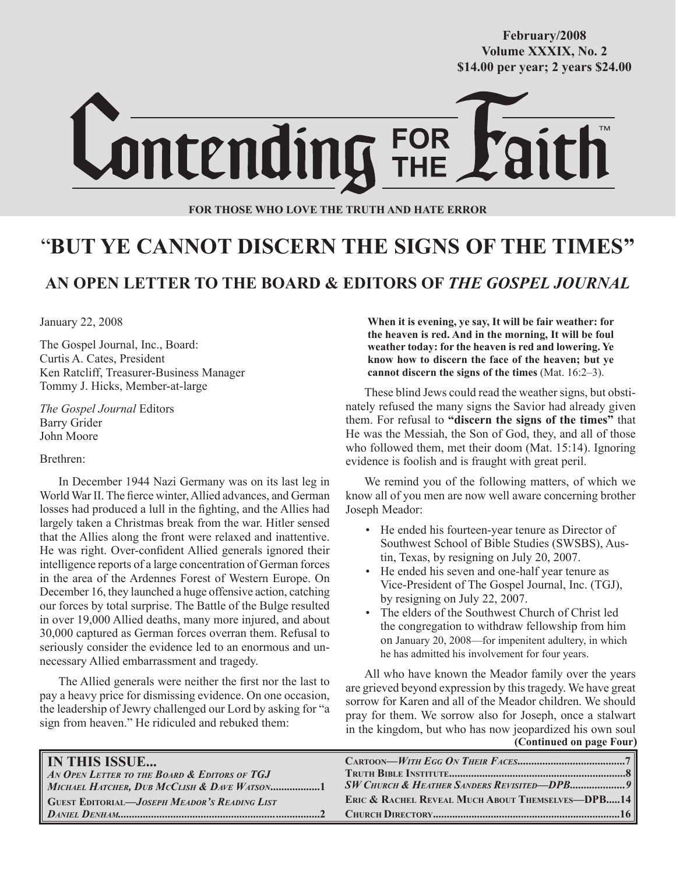**October/2007 Volume XXXIX, No. 2 Volume XXXVIII, No. 10 \$14.00 per year; 2 years \$24.00 \$14.00 per year; 2 years \$24.00 February/2008**



**FOR THOSE WHO LOVE THE TRUTH AND HATE ERROR**

# "**BUT YE CANNOT DISCERN THE SIGNS OF THE TIMES"**

### **AN OPEN LETTER TO THE BOARD & EDITORS OF** *THE GOSPEL JOURNAL*

January 22, 2008

The Gospel Journal, Inc., Board: Curtis A. Cates, President Ken Ratcliff, Treasurer-Business Manager Tommy J. Hicks, Member-at-large

*The Gospel Journal* Editors Barry Grider John Moore

Brethren:

In December 1944 Nazi Germany was on its last leg in World War II. The fierce winter, Allied advances, and German losses had produced a lull in the fighting, and the Allies had largely taken a Christmas break from the war. Hitler sensed that the Allies along the front were relaxed and inattentive. He was right. Over-confident Allied generals ignored their intelligence reports of a large concentration of German forces in the area of the Ardennes Forest of Western Europe. On December 16, they launched a huge offensive action, catching our forces by total surprise. The Battle of the Bulge resulted in over 19,000 Allied deaths, many more injured, and about 30,000 captured as German forces overran them. Refusal to seriously consider the evidence led to an enormous and unnecessary Allied embarrassment and tragedy.

The Allied generals were neither the first nor the last to pay a heavy price for dismissing evidence. On one occasion, the leadership of Jewry challenged our Lord by asking for "a sign from heaven." He ridiculed and rebuked them:

**When it is evening, ye say, It will be fair weather: for the heaven is red. And in the morning, It will be foul weather today: for the heaven is red and lowering. Ye know how to discern the face of the heaven; but ye cannot discern the signs of the times** (Mat. 16:2–3).

These blind Jews could read the weather signs, but obstinately refused the many signs the Savior had already given them. For refusal to **"discern the signs of the times"** that He was the Messiah, the Son of God, they, and all of those who followed them, met their doom (Mat. 15:14). Ignoring evidence is foolish and is fraught with great peril.

We remind you of the following matters, of which we know all of you men are now well aware concerning brother Joseph Meador:

- He ended his fourteen-year tenure as Director of Southwest School of Bible Studies (SWSBS), Austin, Texas, by resigning on July 20, 2007.
- He ended his seven and one-half year tenure as Vice-President of The Gospel Journal, Inc. (TGJ), by resigning on July 22, 2007.
- The elders of the Southwest Church of Christ led the congregation to withdraw fellowship from him on January 20, 2008—for impenitent adultery, in which he has admitted his involvement for four years.

 **(Continued on page Four)** All who have known the Meador family over the years are grieved beyond expression by this tragedy. We have great sorrow for Karen and all of the Meador children. We should pray for them. We sorrow also for Joseph, once a stalwart in the kingdom, but who has now jeopardized his own soul

| <b>IN THIS ISSUE</b>                                                                        |                                                             |
|---------------------------------------------------------------------------------------------|-------------------------------------------------------------|
| AN OPEN LETTER TO THE BOARD & EDITORS OF TGJ<br>MICHAEL HATCHER, DUB MCCLISH & DAVE WATSON1 |                                                             |
| <b>GUEST EDITORIAL—JOSEPH MEADOR'S READING LIST</b>                                         | <b>ERIC &amp; RACHEL REVEAL MUCH ABOUT THEMSELVES-DPB14</b> |
|                                                                                             |                                                             |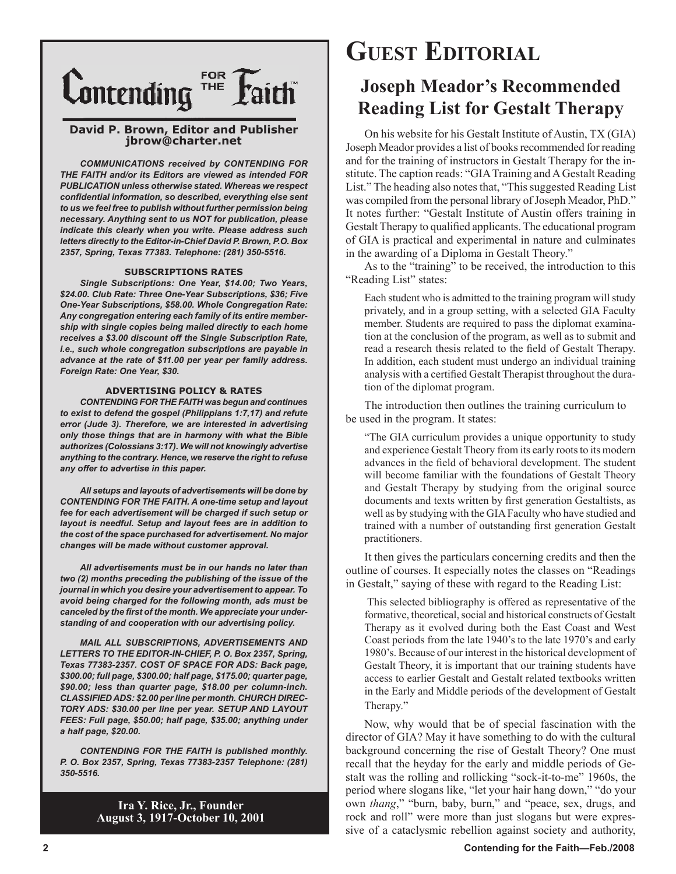

#### **David P. Brown, Editor and Publisher jbrow@charter.net**

*COMMUNICATIONS received by CONTENDING FOR THE FAITH and/or its Editors are viewed as intended FOR PUBLICATION unless otherwise stated. Whereas we respect confidential information, so described, everything else sent to us we feel free to publish without further permission being necessary. Anything sent to us NOT for publication, please indicate this clearly when you write. Please address such letters directly to the Editor-in-Chief David P. Brown, P.O. Box 2357, Spring, Texas 77383. Telephone: (281) 350-5516.*

#### **SUBSCRIPTIONS RATES**

*Single Subscriptions: One Year, \$14.00; Two Years, \$24.00. Club Rate: Three One-Year Subscriptions, \$36; Five One-Year Subscriptions, \$58.00. Whole Congregation Rate: Any congregation entering each family of its entire membership with single copies being mailed directly to each home receives a \$3.00 discount off the Single Subscription Rate, i.e., such whole congregation subscriptions are payable in advance at the rate of \$11.00 per year per family address. Foreign Rate: One Year, \$30.*

#### **ADVERTISING POLICY & RATES**

*CONTENDING FOR THE FAITH was begun and continues to exist to defend the gospel (Philippians 1:7,17) and refute error (Jude 3). Therefore, we are interested in advertising only those things that are in harmony with what the Bible authorizes (Colossians 3:17). We will not knowingly advertise anything to the contrary. Hence, we reserve the right to refuse any offer to advertise in this paper.*

*All setups and layouts of advertisements will be done by CONTENDING FOR THE FAITH. A one-time setup and layout fee for each advertisement will be charged if such setup or layout is needful. Setup and layout fees are in addition to the cost of the space purchased for advertisement. No major changes will be made without customer approval.*

*All advertisements must be in our hands no later than two (2) months preceding the publishing of the issue of the journal in which you desire your advertisement to appear. To avoid being charged for the following month, ads must be canceled by the first of the month. We appreciate your understanding of and cooperation with our advertising policy.*

*MAIL ALL SUBSCRIPTIONS, ADVERTISEMENTS AND LETTERS TO THE EDITOR-IN-CHIEF, P. O. Box 2357, Spring, Texas 77383-2357. COST OF SPACE FOR ADS: Back page, \$300.00; full page, \$300.00; half page, \$175.00; quarter page, \$90.00; less than quarter page, \$18.00 per column-inch. CLASSIFIED ADS: \$2.00 per line per month. CHURCH DIREC-TORY ADS: \$30.00 per line per year. SETUP AND LAYOUT FEES: Full page, \$50.00; half page, \$35.00; anything under a half page, \$20.00.*

*CONTENDING FOR THE FAITH is published monthly. P. O. Box 2357, Spring, Texas 77383-2357 Telephone: (281) 350-5516.*

> **Ira Y. Rice, Jr., Founder August 3, 1917-October 10, 2001**

# **GUEST EDITORIAL**

### **Joseph Meador's Recommended Reading List for Gestalt Therapy**

On his website for his Gestalt Institute of Austin, TX (GIA) Joseph Meador provides a list of books recommended for reading and for the training of instructors in Gestalt Therapy for the institute. The caption reads: "GIA Training and A Gestalt Reading List." The heading also notes that, "This suggested Reading List was compiled from the personal library of Joseph Meador, PhD." It notes further: "Gestalt Institute of Austin offers training in Gestalt Therapy to qualified applicants. The educational program of GIA is practical and experimental in nature and culminates in the awarding of a Diploma in Gestalt Theory."

As to the "training" to be received, the introduction to this "Reading List" states:

Each student who is admitted to the training program will study privately, and in a group setting, with a selected GIA Faculty member. Students are required to pass the diplomat examination at the conclusion of the program, as well as to submit and read a research thesis related to the field of Gestalt Therapy. In addition, each student must undergo an individual training analysis with a certified Gestalt Therapist throughout the duration of the diplomat program.

The introduction then outlines the training curriculum to be used in the program. It states:

"The GIA curriculum provides a unique opportunity to study and experience Gestalt Theory from its early roots to its modern advances in the field of behavioral development. The student will become familiar with the foundations of Gestalt Theory and Gestalt Therapy by studying from the original source documents and texts written by first generation Gestaltists, as well as by studying with the GIA Faculty who have studied and trained with a number of outstanding first generation Gestalt practitioners.

It then gives the particulars concerning credits and then the outline of courses. It especially notes the classes on "Readings in Gestalt," saying of these with regard to the Reading List:

 This selected bibliography is offered as representative of the formative, theoretical, social and historical constructs of Gestalt Therapy as it evolved during both the East Coast and West Coast periods from the late 1940's to the late 1970's and early 1980's. Because of our interest in the historical development of Gestalt Theory, it is important that our training students have access to earlier Gestalt and Gestalt related textbooks written in the Early and Middle periods of the development of Gestalt Therapy."

Now, why would that be of special fascination with the director of GIA? May it have something to do with the cultural background concerning the rise of Gestalt Theory? One must recall that the heyday for the early and middle periods of Gestalt was the rolling and rollicking "sock-it-to-me" 1960s, the period where slogans like, "let your hair hang down," "do your own *thang*," "burn, baby, burn," and "peace, sex, drugs, and rock and roll" were more than just slogans but were expressive of a cataclysmic rebellion against society and authority,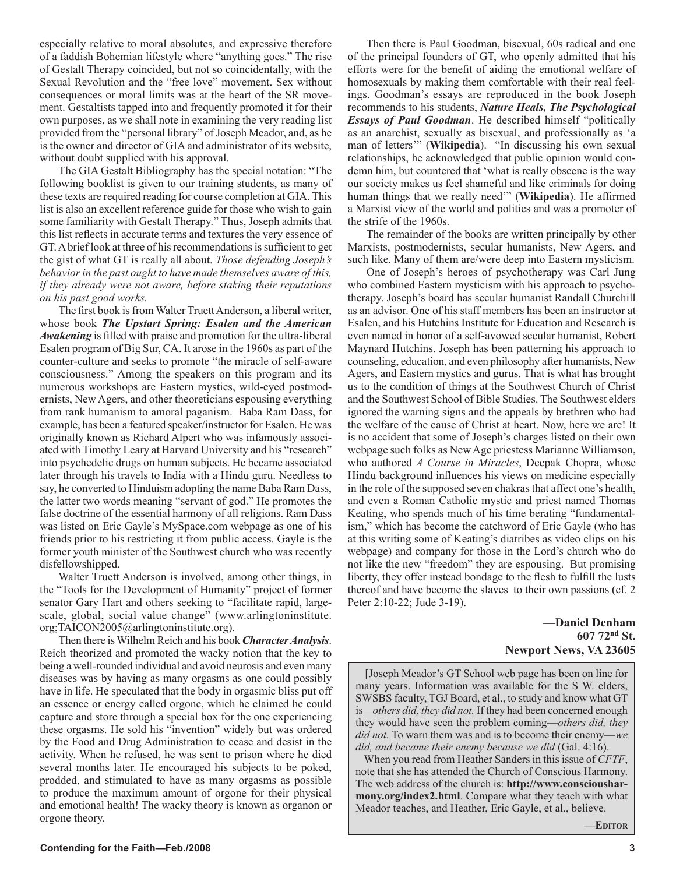especially relative to moral absolutes, and expressive therefore of a faddish Bohemian lifestyle where "anything goes." The rise of Gestalt Therapy coincided, but not so coincidentally, with the Sexual Revolution and the "free love" movement. Sex without consequences or moral limits was at the heart of the SR movement. Gestaltists tapped into and frequently promoted it for their own purposes, as we shall note in examining the very reading list provided from the "personal library" of Joseph Meador, and, as he is the owner and director of GIA and administrator of its website, without doubt supplied with his approval.

The GIA Gestalt Bibliography has the special notation: "The following booklist is given to our training students, as many of these texts are required reading for course completion at GIA. This list is also an excellent reference guide for those who wish to gain some familiarity with Gestalt Therapy." Thus, Joseph admits that this list reflects in accurate terms and textures the very essence of GT. A brief look at three of his recommendations is sufficient to get the gist of what GT is really all about. *Those defending Joseph's behavior in the past ought to have made themselves aware of this, if they already were not aware, before staking their reputations on his past good works.*

The first book is from Walter Truett Anderson, a liberal writer, whose book *The Upstart Spring: Esalen and the American Awakening* is filled with praise and promotion for the ultra-liberal Esalen program of Big Sur, CA. It arose in the 1960s as part of the counter-culture and seeks to promote "the miracle of self-aware consciousness." Among the speakers on this program and its numerous workshops are Eastern mystics, wild-eyed postmodernists, New Agers, and other theoreticians espousing everything from rank humanism to amoral paganism. Baba Ram Dass, for example, has been a featured speaker/instructor for Esalen. He was originally known as Richard Alpert who was infamously associated with Timothy Leary at Harvard University and his "research" into psychedelic drugs on human subjects. He became associated later through his travels to India with a Hindu guru. Needless to say, he converted to Hinduism adopting the name Baba Ram Dass, the latter two words meaning "servant of god." He promotes the false doctrine of the essential harmony of all religions. Ram Dass was listed on Eric Gayle's MySpace.com webpage as one of his friends prior to his restricting it from public access. Gayle is the former youth minister of the Southwest church who was recently disfellowshipped.

Walter Truett Anderson is involved, among other things, in the "Tools for the Development of Humanity" project of former senator Gary Hart and others seeking to "facilitate rapid, largescale, global, social value change" (www.arlingtoninstitute. org;TAICON2005@arlingtoninstitute.org).

Then there is Wilhelm Reich and his book *Character Analysis*. Reich theorized and promoted the wacky notion that the key to being a well-rounded individual and avoid neurosis and even many diseases was by having as many orgasms as one could possibly have in life. He speculated that the body in orgasmic bliss put off an essence or energy called orgone, which he claimed he could capture and store through a special box for the one experiencing these orgasms. He sold his "invention" widely but was ordered by the Food and Drug Administration to cease and desist in the activity. When he refused, he was sent to prison where he died several months later. He encouraged his subjects to be poked, prodded, and stimulated to have as many orgasms as possible to produce the maximum amount of orgone for their physical and emotional health! The wacky theory is known as organon or orgone theory.

Then there is Paul Goodman, bisexual, 60s radical and one of the principal founders of GT, who openly admitted that his efforts were for the benefit of aiding the emotional welfare of homosexuals by making them comfortable with their real feelings. Goodman's essays are reproduced in the book Joseph recommends to his students, *Nature Heals, The Psychological Essays of Paul Goodman*. He described himself "politically as an anarchist, sexually as bisexual, and professionally as 'a man of letters'" (**Wikipedia**). "In discussing his own sexual relationships, he acknowledged that public opinion would condemn him, but countered that 'what is really obscene is the way our society makes us feel shameful and like criminals for doing human things that we really need'" (**Wikipedia**). He affirmed a Marxist view of the world and politics and was a promoter of the strife of the 1960s.

The remainder of the books are written principally by other Marxists, postmodernists, secular humanists, New Agers, and such like. Many of them are/were deep into Eastern mysticism.

One of Joseph's heroes of psychotherapy was Carl Jung who combined Eastern mysticism with his approach to psychotherapy. Joseph's board has secular humanist Randall Churchill as an advisor. One of his staff members has been an instructor at Esalen, and his Hutchins Institute for Education and Research is even named in honor of a self-avowed secular humanist, Robert Maynard Hutchins. Joseph has been patterning his approach to counseling, education, and even philosophy after humanists, New Agers, and Eastern mystics and gurus. That is what has brought us to the condition of things at the Southwest Church of Christ and the Southwest School of Bible Studies. The Southwest elders ignored the warning signs and the appeals by brethren who had the welfare of the cause of Christ at heart. Now, here we are! It is no accident that some of Joseph's charges listed on their own webpage such folks as New Age priestess Marianne Williamson, who authored *A Course in Miracles*, Deepak Chopra, whose Hindu background influences his views on medicine especially in the role of the supposed seven chakras that affect one's health, and even a Roman Catholic mystic and priest named Thomas Keating, who spends much of his time berating "fundamentalism," which has become the catchword of Eric Gayle (who has at this writing some of Keating's diatribes as video clips on his webpage) and company for those in the Lord's church who do not like the new "freedom" they are espousing. But promising liberty, they offer instead bondage to the flesh to fulfill the lusts thereof and have become the slaves to their own passions (cf. 2 Peter 2:10-22; Jude 3-19).

#### **—Daniel Denham 607 72nd St. Newport News, VA 23605**

[Joseph Meador's GT School web page has been on line for many years. Information was available for the S W. elders, SWSBS faculty, TGJ Board, et al., to study and know what GT is*—others did, they did not.* If they had been concerned enough they would have seen the problem coming—*others did, they did not.* To warn them was and is to become their enemy—*we did, and became their enemy because we did* (Gal. 4:16).

 When you read from Heather Sanders in this issue of *CFTF*, note that she has attended the Church of Conscious Harmony. The web address of the church is: **http://www.consciousharmony.org/index2.html**. Compare what they teach with what Meador teaches, and Heather, Eric Gayle, et al., believe.

**—EDITOR**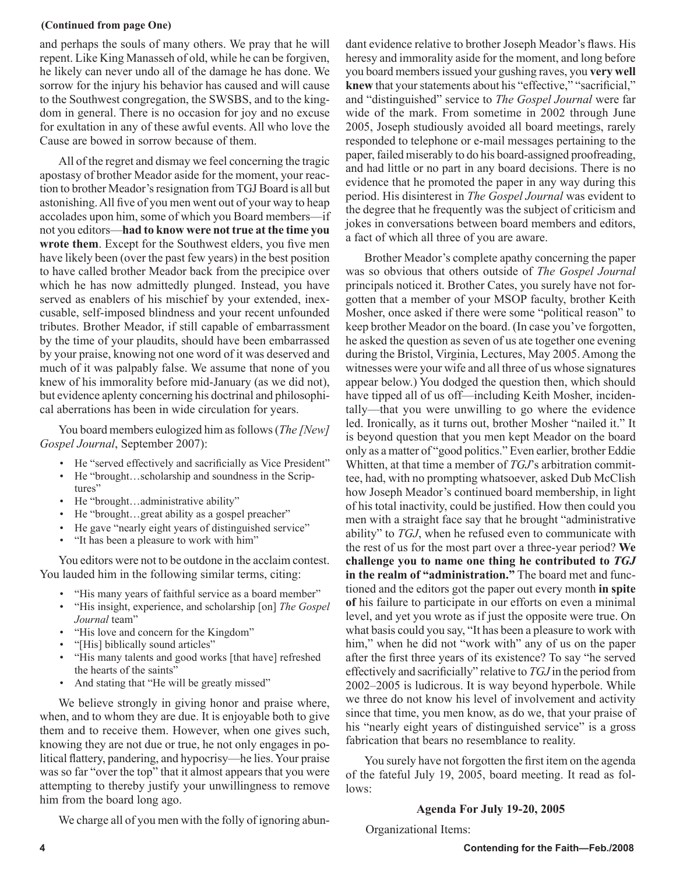#### **(Continued from page One)**

and perhaps the souls of many others. We pray that he will repent. Like King Manasseh of old, while he can be forgiven, he likely can never undo all of the damage he has done. We sorrow for the injury his behavior has caused and will cause to the Southwest congregation, the SWSBS, and to the kingdom in general. There is no occasion for joy and no excuse for exultation in any of these awful events. All who love the Cause are bowed in sorrow because of them.

All of the regret and dismay we feel concerning the tragic apostasy of brother Meador aside for the moment, your reaction to brother Meador's resignation from TGJ Board is all but astonishing. All five of you men went out of your way to heap accolades upon him, some of which you Board members—if not you editors—**had to know were not true at the time you wrote them**. Except for the Southwest elders, you five men have likely been (over the past few years) in the best position to have called brother Meador back from the precipice over which he has now admittedly plunged. Instead, you have served as enablers of his mischief by your extended, inexcusable, self-imposed blindness and your recent unfounded tributes. Brother Meador, if still capable of embarrassment by the time of your plaudits, should have been embarrassed by your praise, knowing not one word of it was deserved and much of it was palpably false. We assume that none of you knew of his immorality before mid-January (as we did not), but evidence aplenty concerning his doctrinal and philosophical aberrations has been in wide circulation for years.

You board members eulogized him as follows (*The [New] Gospel Journal*, September 2007):

- He "served effectively and sacrificially as Vice President"
- He "brought...scholarship and soundness in the Scriptures"
- He "brought...administrative ability"
- He "brought...great ability as a gospel preacher"
- He gave "nearly eight years of distinguished service"
- "It has been a pleasure to work with him"

You editors were not to be outdone in the acclaim contest. You lauded him in the following similar terms, citing:

- "His many years of faithful service as a board member"
- "His insight, experience, and scholarship [on] *The Gospel Journal* team"
- "His love and concern for the Kingdom"
- "[His] biblically sound articles"
- "His many talents and good works [that have] refreshed the hearts of the saints"
- And stating that "He will be greatly missed"

We believe strongly in giving honor and praise where, when, and to whom they are due. It is enjoyable both to give them and to receive them. However, when one gives such, knowing they are not due or true, he not only engages in political flattery, pandering, and hypocrisy—he lies. Your praise was so far "over the top" that it almost appears that you were attempting to thereby justify your unwillingness to remove him from the board long ago.

We charge all of you men with the folly of ignoring abun-

dant evidence relative to brother Joseph Meador's flaws. His heresy and immorality aside for the moment, and long before you board members issued your gushing raves, you **very well knew** that your statements about his "effective," "sacrificial," and "distinguished" service to *The Gospel Journal* were far wide of the mark. From sometime in 2002 through June 2005, Joseph studiously avoided all board meetings, rarely responded to telephone or e-mail messages pertaining to the paper, failed miserably to do his board-assigned proofreading, and had little or no part in any board decisions. There is no evidence that he promoted the paper in any way during this period. His disinterest in *The Gospel Journal* was evident to the degree that he frequently was the subject of criticism and jokes in conversations between board members and editors, a fact of which all three of you are aware.

Brother Meador's complete apathy concerning the paper was so obvious that others outside of *The Gospel Journal* principals noticed it. Brother Cates, you surely have not forgotten that a member of your MSOP faculty, brother Keith Mosher, once asked if there were some "political reason" to keep brother Meador on the board. (In case you've forgotten, he asked the question as seven of us ate together one evening during the Bristol, Virginia, Lectures, May 2005. Among the witnesses were your wife and all three of us whose signatures appear below.) You dodged the question then, which should have tipped all of us off—including Keith Mosher, incidentally—that you were unwilling to go where the evidence led. Ironically, as it turns out, brother Mosher "nailed it." It is beyond question that you men kept Meador on the board only as a matter of "good politics." Even earlier, brother Eddie Whitten, at that time a member of *TGJ*'s arbitration committee, had, with no prompting whatsoever, asked Dub McClish how Joseph Meador's continued board membership, in light of his total inactivity, could be justified. How then could you men with a straight face say that he brought "administrative ability" to *TGJ*, when he refused even to communicate with the rest of us for the most part over a three-year period? **We challenge you to name one thing he contributed to** *TGJ*  **in the realm of "administration."** The board met and functioned and the editors got the paper out every month **in spite of** his failure to participate in our efforts on even a minimal level, and yet you wrote as if just the opposite were true. On what basis could you say, "It has been a pleasure to work with him," when he did not "work with" any of us on the paper after the first three years of its existence? To say "he served effectively and sacrificially" relative to *TGJ* in the period from 2002–2005 is ludicrous. It is way beyond hyperbole. While we three do not know his level of involvement and activity since that time, you men know, as do we, that your praise of his "nearly eight years of distinguished service" is a gross fabrication that bears no resemblance to reality.

You surely have not forgotten the first item on the agenda of the fateful July 19, 2005, board meeting. It read as follows:

#### **Agenda For July 19-20, 2005**

Organizational Items: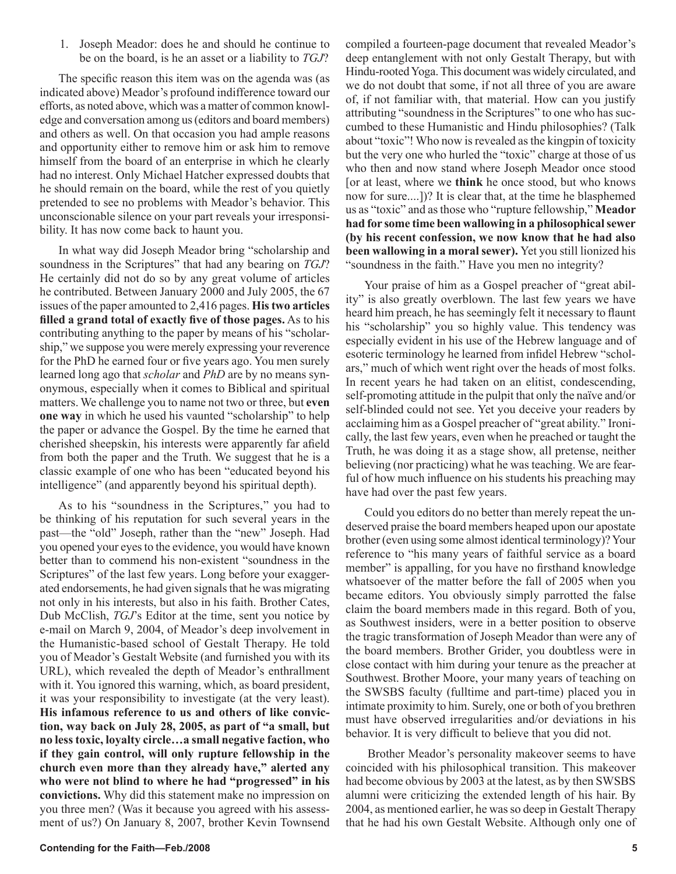1. Joseph Meador: does he and should he continue to be on the board, is he an asset or a liability to *TGJ*?

The specific reason this item was on the agenda was (as indicated above) Meador's profound indifference toward our efforts, as noted above, which was a matter of common knowledge and conversation among us (editors and board members) and others as well. On that occasion you had ample reasons and opportunity either to remove him or ask him to remove himself from the board of an enterprise in which he clearly had no interest. Only Michael Hatcher expressed doubts that he should remain on the board, while the rest of you quietly pretended to see no problems with Meador's behavior. This unconscionable silence on your part reveals your irresponsibility. It has now come back to haunt you.

In what way did Joseph Meador bring "scholarship and soundness in the Scriptures" that had any bearing on *TGJ*? He certainly did not do so by any great volume of articles he contributed. Between January 2000 and July 2005, the 67 issues of the paper amounted to 2,416 pages. **His two articles filled a grand total of exactly five of those pages.** As to his contributing anything to the paper by means of his "scholarship," we suppose you were merely expressing your reverence for the PhD he earned four or five years ago. You men surely learned long ago that *scholar* and *PhD* are by no means synonymous, especially when it comes to Biblical and spiritual matters. We challenge you to name not two or three, but **even one way** in which he used his vaunted "scholarship" to help the paper or advance the Gospel. By the time he earned that cherished sheepskin, his interests were apparently far afield from both the paper and the Truth. We suggest that he is a classic example of one who has been "educated beyond his intelligence" (and apparently beyond his spiritual depth).

As to his "soundness in the Scriptures," you had to be thinking of his reputation for such several years in the past—the "old" Joseph, rather than the "new" Joseph. Had you opened your eyes to the evidence, you would have known better than to commend his non-existent "soundness in the Scriptures" of the last few years. Long before your exaggerated endorsements, he had given signals that he was migrating not only in his interests, but also in his faith. Brother Cates, Dub McClish, *TGJ*'s Editor at the time, sent you notice by e-mail on March 9, 2004, of Meador's deep involvement in the Humanistic-based school of Gestalt Therapy. He told you of Meador's Gestalt Website (and furnished you with its URL), which revealed the depth of Meador's enthrallment with it. You ignored this warning, which, as board president, it was your responsibility to investigate (at the very least). **His infamous reference to us and others of like conviction, way back on July 28, 2005, as part of "a small, but no less toxic, loyalty circle…a small negative faction, who if they gain control, will only rupture fellowship in the church even more than they already have," alerted any who were not blind to where he had "progressed" in his convictions.** Why did this statement make no impression on you three men? (Was it because you agreed with his assessment of us?) On January 8, 2007, brother Kevin Townsend compiled a fourteen-page document that revealed Meador's deep entanglement with not only Gestalt Therapy, but with Hindu-rooted Yoga. This document was widely circulated, and we do not doubt that some, if not all three of you are aware of, if not familiar with, that material. How can you justify attributing "soundness in the Scriptures" to one who has succumbed to these Humanistic and Hindu philosophies? (Talk about "toxic"! Who now is revealed as the kingpin of toxicity but the very one who hurled the "toxic" charge at those of us who then and now stand where Joseph Meador once stood [or at least, where we **think** he once stood, but who knows now for sure....])? It is clear that, at the time he blasphemed us as "toxic" and as those who "rupture fellowship," **Meador had for some time been wallowing in a philosophical sewer (by his recent confession, we now know that he had also been wallowing in a moral sewer).** Yet you still lionized his "soundness in the faith." Have you men no integrity?

Your praise of him as a Gospel preacher of "great ability" is also greatly overblown. The last few years we have heard him preach, he has seemingly felt it necessary to flaunt his "scholarship" you so highly value. This tendency was especially evident in his use of the Hebrew language and of esoteric terminology he learned from infidel Hebrew "scholars," much of which went right over the heads of most folks. In recent years he had taken on an elitist, condescending, self-promoting attitude in the pulpit that only the naïve and/or self-blinded could not see. Yet you deceive your readers by acclaiming him as a Gospel preacher of "great ability." Ironically, the last few years, even when he preached or taught the Truth, he was doing it as a stage show, all pretense, neither believing (nor practicing) what he was teaching. We are fearful of how much influence on his students his preaching may have had over the past few years.

Could you editors do no better than merely repeat the undeserved praise the board members heaped upon our apostate brother (even using some almost identical terminology)? Your reference to "his many years of faithful service as a board member" is appalling, for you have no firsthand knowledge whatsoever of the matter before the fall of 2005 when you became editors. You obviously simply parrotted the false claim the board members made in this regard. Both of you, as Southwest insiders, were in a better position to observe the tragic transformation of Joseph Meador than were any of the board members. Brother Grider, you doubtless were in close contact with him during your tenure as the preacher at Southwest. Brother Moore, your many years of teaching on the SWSBS faculty (fulltime and part-time) placed you in intimate proximity to him. Surely, one or both of you brethren must have observed irregularities and/or deviations in his behavior. It is very difficult to believe that you did not.

Brother Meador's personality makeover seems to have coincided with his philosophical transition. This makeover had become obvious by 2003 at the latest, as by then SWSBS alumni were criticizing the extended length of his hair. By 2004, as mentioned earlier, he was so deep in Gestalt Therapy that he had his own Gestalt Website. Although only one of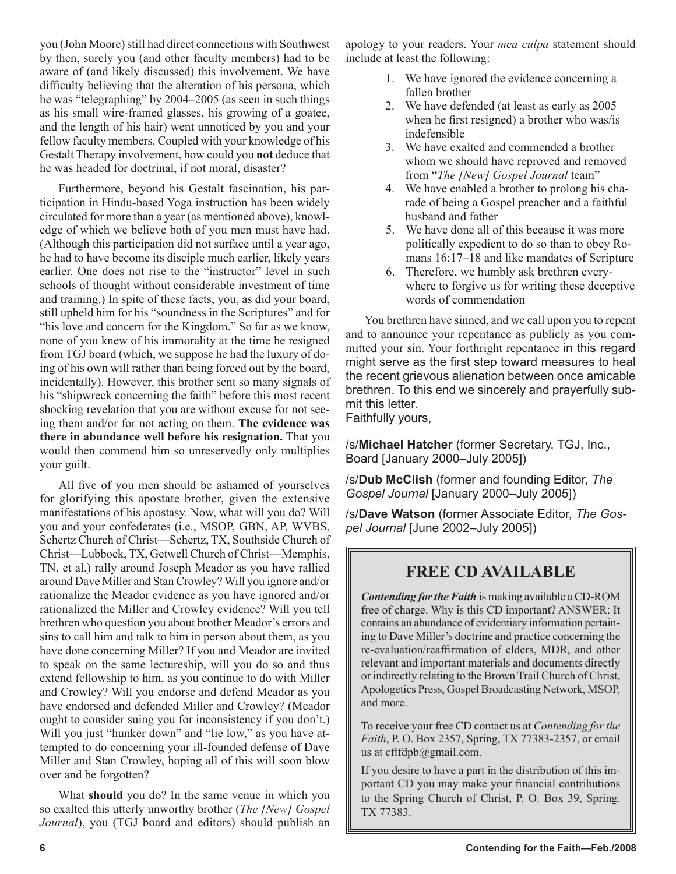you (John Moore) still had direct connections with Southwest by then, surely you (and other faculty members) had to be aware of (and likely discussed) this involvement. We have difficulty believing that the alteration of his persona, which he was "telegraphing" by 2004–2005 (as seen in such things as his small wire-framed glasses, his growing of a goatee, and the length of his hair) went unnoticed by you and your fellow faculty members. Coupled with your knowledge of his Gestalt Therapy involvement, how could you **not** deduce that he was headed for doctrinal, if not moral, disaster?

Furthermore, beyond his Gestalt fascination, his participation in Hindu-based Yoga instruction has been widely circulated for more than a year (as mentioned above), knowledge of which we believe both of you men must have had. (Although this participation did not surface until a year ago, he had to have become its disciple much earlier, likely years earlier. One does not rise to the "instructor" level in such schools of thought without considerable investment of time and training.) In spite of these facts, you, as did your board, still upheld him for his "soundness in the Scriptures" and for "his love and concern for the Kingdom." So far as we know, none of you knew of his immorality at the time he resigned from TGJ board (which, we suppose he had the luxury of doing of his own will rather than being forced out by the board, incidentally). However, this brother sent so many signals of his "shipwreck concerning the faith" before this most recent shocking revelation that you are without excuse for not seeing them and/or for not acting on them. **The evidence was there in abundance well before his resignation.** That you would then commend him so unreservedly only multiplies your guilt.

All five of you men should be ashamed of yourselves for glorifying this apostate brother, given the extensive manifestations of his apostasy. Now, what will you do? Will you and your confederates (i.e., MSOP, GBN, AP, WVBS, Schertz Church of Christ—Schertz, TX, Southside Church of Christ—Lubbock, TX, Getwell Church of Christ—Memphis, TN, et al.) rally around Joseph Meador as you have rallied around Dave Miller and Stan Crowley? Will you ignore and/or rationalize the Meador evidence as you have ignored and/or rationalized the Miller and Crowley evidence? Will you tell brethren who question you about brother Meador's errors and sins to call him and talk to him in person about them, as you have done concerning Miller? If you and Meador are invited to speak on the same lectureship, will you do so and thus extend fellowship to him, as you continue to do with Miller and Crowley? Will you endorse and defend Meador as you have endorsed and defended Miller and Crowley? (Meador ought to consider suing you for inconsistency if you don't.) Will you just "hunker down" and "lie low," as you have attempted to do concerning your ill-founded defense of Dave Miller and Stan Crowley, hoping all of this will soon blow over and be forgotten?

What **should** you do? In the same venue in which you so exalted this utterly unworthy brother (*The [New] Gospel Journal*), you (TGJ board and editors) should publish an apology to your readers. Your *mea culpa* statement should include at least the following:

- 1. We have ignored the evidence concerning a fallen brother
- 2. We have defended (at least as early as 2005 when he first resigned) a brother who was/is indefensible
- 3. We have exalted and commended a brother whom we should have reproved and removed from "*The [New] Gospel Journal* team"
- 4. We have enabled a brother to prolong his charade of being a Gospel preacher and a faithful husband and father
- 5. We have done all of this because it was more politically expedient to do so than to obey Romans 16:17–18 and like mandates of Scripture
- 6. Therefore, we humbly ask brethren everywhere to forgive us for writing these deceptive words of commendation

You brethren have sinned, and we call upon you to repent and to announce your repentance as publicly as you committed your sin. Your forthright repentance in this regard might serve as the first step toward measures to heal the recent grievous alienation between once amicable brethren. To this end we sincerely and prayerfully submit this letter.

Faithfully yours,

/s/**Michael Hatcher** (former Secretary, TGJ, Inc., Board [January 2000–July 2005])

/s/**Dub McClish** (former and founding Editor, *The Gospel Journal* [January 2000–July 2005])

/s/**Dave Watson** (former Associate Editor, *The Gospel Journal* [June 2002–July 2005])

### **FREE CD AVAILABLE**

*Contending for the Faith* is making available a CD-ROM free of charge. Why is this CD important? ANSWER: It contains an abundance of evidentiary information pertaining to Dave Miller's doctrine and practice concerning the re-evaluation/reaffirmation of elders, MDR, and other relevant and important materials and documents directly or indirectly relating to the Brown Trail Church of Christ, Apologetics Press, Gospel Broadcasting Network, MSOP, and more.

To receive your free CD contact us at *Contending for the Faith*, P. O. Box 2357, Spring, TX 77383-2357, or email us at cftfdpb@gmail.com.

If you desire to have a part in the distribution of this important CD you may make your financial contributions to the Spring Church of Christ, P. O. Box 39, Spring, TX 77383.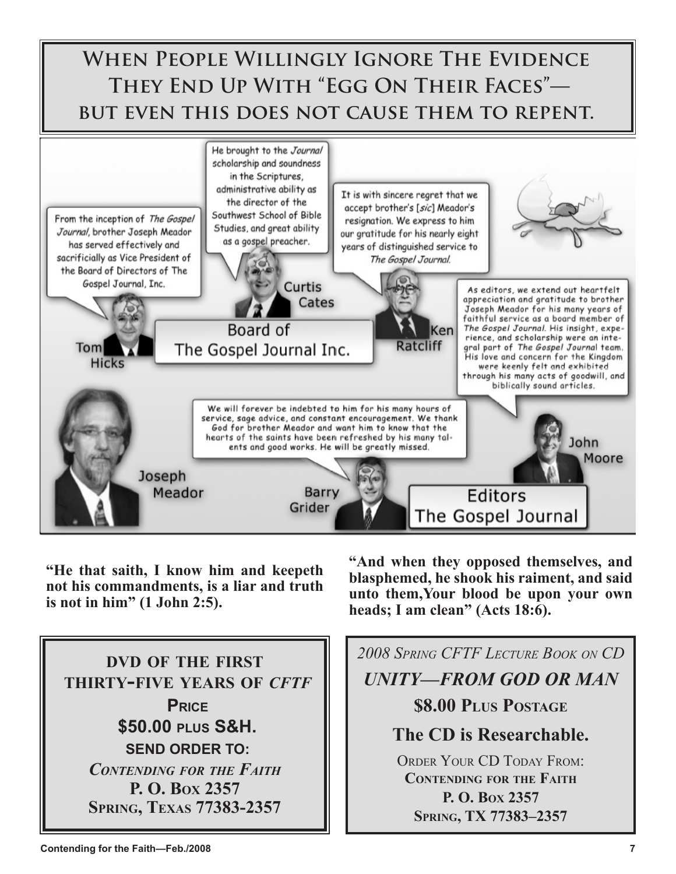

**"He that saith, I know him and keepeth not his commandments, is a liar and truth is not in him" (1 John 2:5).**

**"And when they opposed themselves, and blasphemed, he shook his raiment, and said unto them,Your blood be upon your own heads; I am clean" (Acts 18:6).**



*2008 SPRING CFTF LECTURE BOOK ON CD UNITY—FROM GOD OR MAN* **\$8.00 PLUS POSTAGE The CD is Researchable.** ORDER YOUR CD TODAY FROM:

**CONTENDING FOR THE FAITH P. O. BOX 2357 SPRING, TX 77383–2357**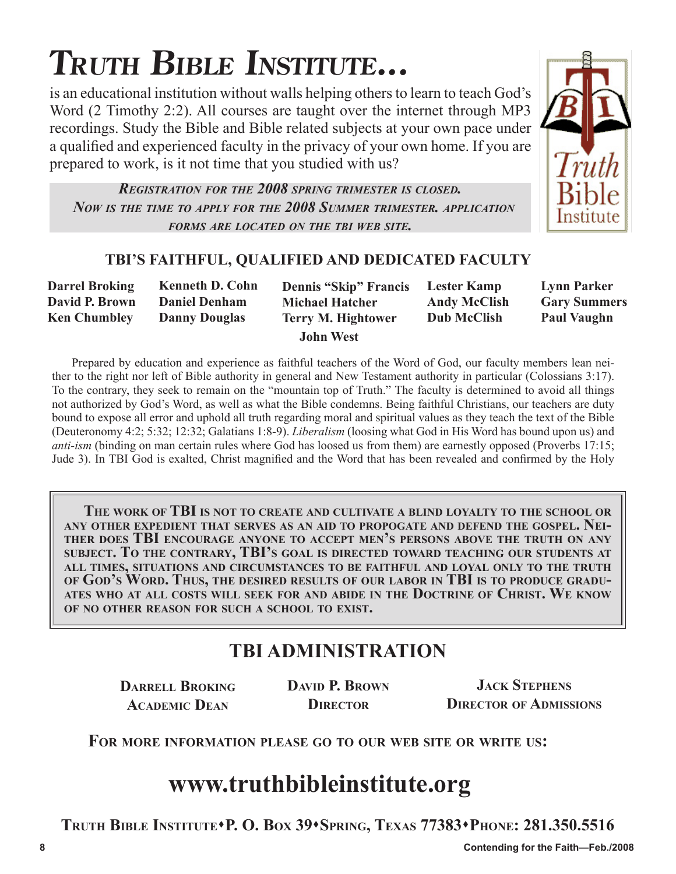# **TRUTH BIBLE INSTITUTE...**

is an educational institution without walls helping others to learn to teach God's Word (2 Timothy 2:2). All courses are taught over the internet through MP3 recordings. Study the Bible and Bible related subjects at your own pace under a qualified and experienced faculty in the privacy of your own home. If you are prepared to work, is it not time that you studied with us?

*REGISTRATION FOR THE 2008 SPRING TRIMESTER IS CLOSED. NOW IS THE TIME TO APPLY FOR THE 2008 SUMMER TRIMESTER. APPLICATION FORMS ARE LOCATED ON THE TBI WEB SITE.*



### **TBI'S FAITHFUL, QUALIFIED AND DEDICATED FACULTY**

| <b>Darrel Broking</b> | <b>Kenneth D. Cohn</b> | <b>Dennis "Skip" Francis</b> | <b>Lester Kamp</b>  | <b>Lynn Parker</b>  |
|-----------------------|------------------------|------------------------------|---------------------|---------------------|
| David P. Brown        | <b>Daniel Denham</b>   | <b>Michael Hatcher</b>       | <b>Andy McClish</b> | <b>Gary Summers</b> |
| <b>Ken Chumbley</b>   | <b>Danny Douglas</b>   | <b>Terry M. Hightower</b>    | <b>Dub McClish</b>  | <b>Paul Vaughn</b>  |
|                       |                        | <b>John West</b>             |                     |                     |

Prepared by education and experience as faithful teachers of the Word of God, our faculty members lean neither to the right nor left of Bible authority in general and New Testament authority in particular (Colossians 3:17). To the contrary, they seek to remain on the "mountain top of Truth." The faculty is determined to avoid all things not authorized by God's Word, as well as what the Bible condemns. Being faithful Christians, our teachers are duty bound to expose all error and uphold all truth regarding moral and spiritual values as they teach the text of the Bible (Deuteronomy 4:2; 5:32; 12:32; Galatians 1:8-9). *Liberalism* (loosing what God in His Word has bound upon us) and *anti-ism* (binding on man certain rules where God has loosed us from them) are earnestly opposed (Proverbs 17:15; Jude 3). In TBI God is exalted, Christ magnified and the Word that has been revealed and confirmed by the Holy

**THE WORK OF TBI IS NOT TO CREATE AND CULTIVATE A BLIND LOYALTY TO THE SCHOOL OR ANY OTHER EXPEDIENT THAT SERVES AS AN AID TO PROPOGATE AND DEFEND THE GOSPEL. NEI- THER DOES TBI ENCOURAGE ANYONE TO ACCEPT MEN'S PERSONS ABOVE THE TRUTH ON ANY SUBJECT. TO THE CONTRARY, TBI'S GOAL IS DIRECTED TOWARD TEACHING OUR STUDENTS AT ALL TIMES, SITUATIONS AND CIRCUMSTANCES TO BE FAITHFUL AND LOYAL ONLY TO THE TRUTH OF GOD'S WORD. THUS, THE DESIRED RESULTS OF OUR LABOR IN TBI IS TO PRODUCE GRADU- ATES WHO AT ALL COSTS WILL SEEK FOR AND ABIDE IN THE DOCTRINE OF CHRIST. WE KNOW OF NO OTHER REASON FOR SUCH A SCHOOL TO EXIST.**

# **TBI ADMINISTRATION**

**DARRELL BROKING ACADEMIC DEAN**

**DAVID P. BROWN DIRECTOR**

**JACK STEPHENS DIRECTOR OF ADMISSIONS**

**FOR MORE INFORMATION PLEASE GO TO OUR WEB SITE OR WRITE US:**

# **www.truthbibleinstitute.org**

**TRUTH BIBLE INSTITUTEP. O. BOX 39SPRING, TEXAS 77383PHONE: 281.350.5516**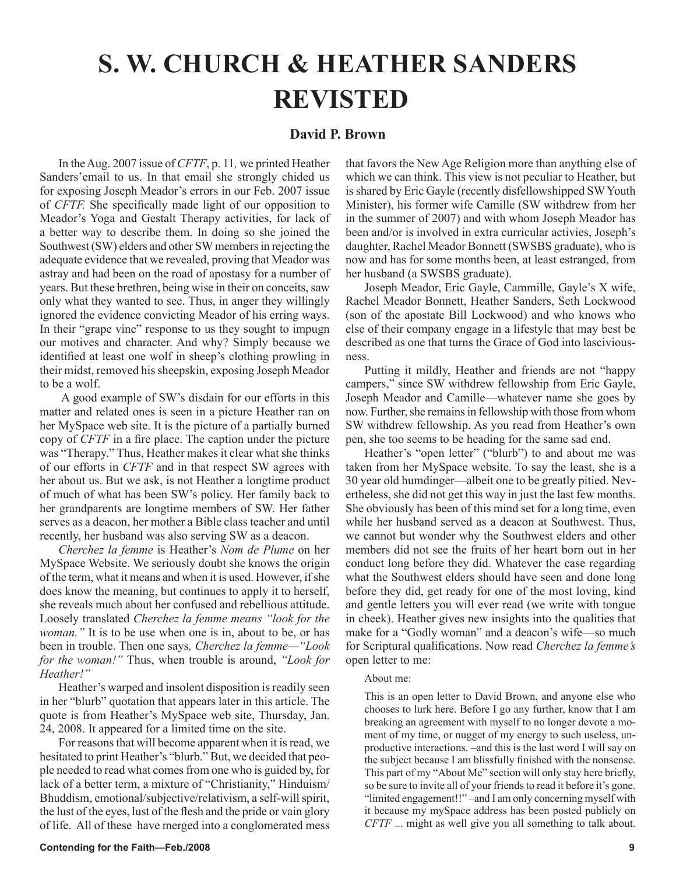# **S. W. CHURCH & HEATHER SANDERS REVISTED**

#### **David P. Brown**

In the Aug. 2007 issue of *CFTF*, p. 11*,* we printed Heather Sanders'email to us. In that email she strongly chided us for exposing Joseph Meador's errors in our Feb. 2007 issue of *CFTF.* She specifically made light of our opposition to Meador's Yoga and Gestalt Therapy activities, for lack of a better way to describe them. In doing so she joined the Southwest (SW) elders and other SW members in rejecting the adequate evidence that we revealed, proving that Meador was astray and had been on the road of apostasy for a number of years. But these brethren, being wise in their on conceits, saw only what they wanted to see. Thus, in anger they willingly ignored the evidence convicting Meador of his erring ways. In their "grape vine" response to us they sought to impugn our motives and character. And why? Simply because we identified at least one wolf in sheep's clothing prowling in their midst, removed his sheepskin, exposing Joseph Meador to be a wolf.

 A good example of SW's disdain for our efforts in this matter and related ones is seen in a picture Heather ran on her MySpace web site. It is the picture of a partially burned copy of *CFTF* in a fire place. The caption under the picture was "Therapy." Thus, Heather makes it clear what she thinks of our efforts in *CFTF* and in that respect SW agrees with her about us. But we ask, is not Heather a longtime product of much of what has been SW's policy. Her family back to her grandparents are longtime members of SW. Her father serves as a deacon, her mother a Bible class teacher and until recently, her husband was also serving SW as a deacon.

*Cherchez la femme* is Heather's *Nom de Plume* on her MySpace Website. We seriously doubt she knows the origin of the term, what it means and when it is used. However, if she does know the meaning, but continues to apply it to herself, she reveals much about her confused and rebellious attitude. Loosely translated *Cherchez la femme means "look for the woman."* It is to be use when one is in, about to be, or has been in trouble. Then one says*, Cherchez la femme—"Look for the woman!"* Thus, when trouble is around, *"Look for Heather!"*

Heather's warped and insolent disposition is readily seen in her "blurb" quotation that appears later in this article. The quote is from Heather's MySpace web site, Thursday, Jan. 24, 2008. It appeared for a limited time on the site.

For reasons that will become apparent when it is read, we hesitated to print Heather's "blurb." But, we decided that people needed to read what comes from one who is guided by, for lack of a better term, a mixture of "Christianity," Hinduism/ Bhuddism, emotional/subjective/relativism, a self-will spirit, the lust of the eyes, lust of the flesh and the pride or vain glory of life. All of these have merged into a conglomerated mess that favors the New Age Religion more than anything else of which we can think. This view is not peculiar to Heather, but is shared by Eric Gayle (recently disfellowshipped SW Youth Minister), his former wife Camille (SW withdrew from her in the summer of 2007) and with whom Joseph Meador has been and/or is involved in extra curricular activies, Joseph's daughter, Rachel Meador Bonnett (SWSBS graduate), who is now and has for some months been, at least estranged, from her husband (a SWSBS graduate).

Joseph Meador, Eric Gayle, Cammille, Gayle's X wife, Rachel Meador Bonnett, Heather Sanders, Seth Lockwood (son of the apostate Bill Lockwood) and who knows who else of their company engage in a lifestyle that may best be described as one that turns the Grace of God into lasciviousness.

Putting it mildly, Heather and friends are not "happy campers," since SW withdrew fellowship from Eric Gayle, Joseph Meador and Camille—whatever name she goes by now. Further, she remains in fellowship with those from whom SW withdrew fellowship. As you read from Heather's own pen, she too seems to be heading for the same sad end.

Heather's "open letter" ("blurb") to and about me was taken from her MySpace website. To say the least, she is a 30 year old humdinger—albeit one to be greatly pitied. Nevertheless, she did not get this way in just the last few months. She obviously has been of this mind set for a long time, even while her husband served as a deacon at Southwest. Thus, we cannot but wonder why the Southwest elders and other members did not see the fruits of her heart born out in her conduct long before they did. Whatever the case regarding what the Southwest elders should have seen and done long before they did, get ready for one of the most loving, kind and gentle letters you will ever read (we write with tongue in cheek). Heather gives new insights into the qualities that make for a "Godly woman" and a deacon's wife—so much for Scriptural qualifications. Now read *Cherchez la femme's*  open letter to me:

#### About me:

This is an open letter to David Brown, and anyone else who chooses to lurk here. Before I go any further, know that I am breaking an agreement with myself to no longer devote a moment of my time, or nugget of my energy to such useless, unproductive interactions. –and this is the last word I will say on the subject because I am blissfully finished with the nonsense. This part of my "About Me" section will only stay here briefly, so be sure to invite all of your friends to read it before it's gone. "limited engagement!!" –and I am only concerning myself with it because my mySpace address has been posted publicly on *CFTF* ... might as well give you all something to talk about.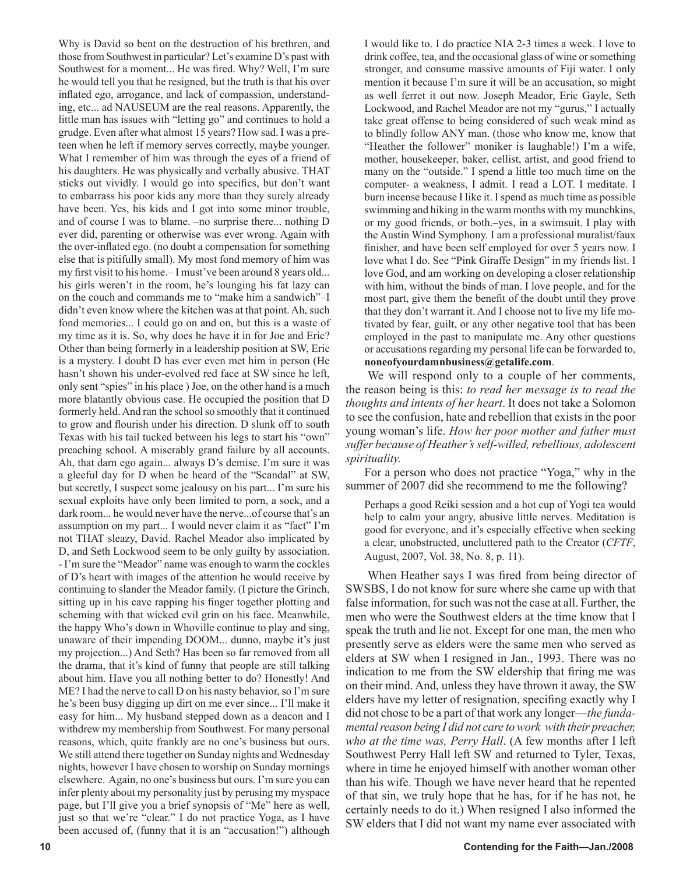Why is David so bent on the destruction of his brethren, and those from Southwest in particular? Let's examine D's past with Southwest for a moment... He was fired. Why? Well, I'm sure he would tell you that he resigned, but the truth is that his over inflated ego, arrogance, and lack of compassion, understanding, etc... ad NAUSEUM are the real reasons. Apparently, the little man has issues with "letting go" and continues to hold a grudge. Even after what almost 15 years? How sad. I was a preteen when he left if memory serves correctly, maybe younger. What I remember of him was through the eyes of a friend of his daughters. He was physically and verbally abusive. THAT sticks out vividly. I would go into specifics, but don't want to embarrass his poor kids any more than they surely already have been. Yes, his kids and I got into some minor trouble, and of course I was to blame. –no surprise there... nothing D ever did, parenting or otherwise was ever wrong. Again with the over-inflated ego. (no doubt a compensation for something else that is pitifully small). My most fond memory of him was my first visit to his home.– I must've been around 8 years old... his girls weren't in the room, he's lounging his fat lazy can on the couch and commands me to "make him a sandwich"–I didn't even know where the kitchen was at that point. Ah, such fond memories... I could go on and on, but this is a waste of my time as it is. So, why does he have it in for Joe and Eric? Other than being formerly in a leadership position at SW, Eric is a mystery. I doubt D has ever even met him in person (He hasn't shown his under-evolved red face at SW since he left, only sent "spies" in his place ) Joe, on the other hand is a much more blatantly obvious case. He occupied the position that D formerly held. And ran the school so smoothly that it continued to grow and flourish under his direction. D slunk off to south Texas with his tail tucked between his legs to start his "own" preaching school. A miserably grand failure by all accounts. Ah, that darn ego again... always D's demise. I'm sure it was a gleeful day for D when he heard of the "Scandal" at SW, but secretly, I suspect some jealousy on his part... I'm sure his sexual exploits have only been limited to porn, a sock, and a dark room... he would never have the nerve...of course that's an assumption on my part... I would never claim it as "fact" I'm not THAT sleazy, David. Rachel Meador also implicated by D, and Seth Lockwood seem to be only guilty by association. - I'm sure the "Meador" name was enough to warm the cockles of D's heart with images of the attention he would receive by continuing to slander the Meador family. (I picture the Grinch, sitting up in his cave rapping his finger together plotting and scheming with that wicked evil grin on his face. Meanwhile, the happy Who's down in Whoville continue to play and sing, unaware of their impending DOOM... dunno, maybe it's just my projection...) And Seth? Has been so far removed from all the drama, that it's kind of funny that people are still talking about him. Have you all nothing better to do? Honestly! And ME? I had the nerve to call D on his nasty behavior, so I'm sure he's been busy digging up dirt on me ever since... I'll make it easy for him... My husband stepped down as a deacon and I withdrew my membership from Southwest. For many personal reasons, which, quite frankly are no one's business but ours. We still attend there together on Sunday nights and Wednesday nights, however I have chosen to worship on Sunday mornings elsewhere. Again, no one's business but ours. I'm sure you can infer plenty about my personality just by perusing my myspace page, but I'll give you a brief synopsis of "Me" here as well, just so that we're "clear." I do not practice Yoga, as I have been accused of, (funny that it is an "accusation!") although

I would like to. I do practice NIA 2-3 times a week. I love to drink coffee, tea, and the occasional glass of wine or something stronger, and consume massive amounts of Fiji water. I only mention it because I'm sure it will be an accusation, so might as well ferret it out now. Joseph Meador, Eric Gayle, Seth Lockwood, and Rachel Meador are not my "gurus," I actually take great offense to being considered of such weak mind as to blindly follow ANY man. (those who know me, know that "Heather the follower" moniker is laughable!) I'm a wife, mother, housekeeper, baker, cellist, artist, and good friend to many on the "outside." I spend a little too much time on the computer- a weakness, I admit. I read a LOT. I meditate. I burn incense because I like it. I spend as much time as possible swimming and hiking in the warm months with my munchkins, or my good friends, or both.–yes, in a swimsuit. I play with the Austin Wind Symphony. I am a professional muralist/faux finisher, and have been self employed for over 5 years now. I love what I do. See "Pink Giraffe Design" in my friends list. I love God, and am working on developing a closer relationship with him, without the binds of man. I love people, and for the most part, give them the benefit of the doubt until they prove that they don't warrant it. And I choose not to live my life motivated by fear, guilt, or any other negative tool that has been employed in the past to manipulate me. Any other questions or accusations regarding my personal life can be forwarded to, **noneofyourdamnbusiness@getalife.com**.

We will respond only to a couple of her comments, the reason being is this: *to read her message is to read the thoughts and intents of her heart*. It does not take a Solomon to see the confusion, hate and rebellion that exists in the poor young woman's life. *How her poor mother and father must suffer because of Heather's self-willed, rebellious, adolescent spirituality.*

For a person who does not practice "Yoga," why in the summer of 2007 did she recommend to me the following?

Perhaps a good Reiki session and a hot cup of Yogi tea would help to calm your angry, abusive little nerves. Meditation is good for everyone, and it's especially effective when seeking a clear, unobstructed, uncluttered path to the Creator (*CFTF*, August, 2007, Vol. 38, No. 8, p. 11).

When Heather says I was fired from being director of SWSBS, I do not know for sure where she came up with that false information, for such was not the case at all. Further, the men who were the Southwest elders at the time know that I speak the truth and lie not. Except for one man, the men who presently serve as elders were the same men who served as elders at SW when I resigned in Jan., 1993. There was no indication to me from the SW eldership that firing me was on their mind. And, unless they have thrown it away, the SW elders have my letter of resignation, specifing exactly why I did not chose to be a part of that work any longer—*the fundamental reason being I did not care to work with their preacher, who at the time was, Perry Hall*. (A few months after I left Southwest Perry Hall left SW and returned to Tyler, Texas, where in time he enjoyed himself with another woman other than his wife. Though we have never heard that he repented of that sin, we truly hope that he has, for if he has not, he certainly needs to do it.) When resigned I also informed the SW elders that I did not want my name ever associated with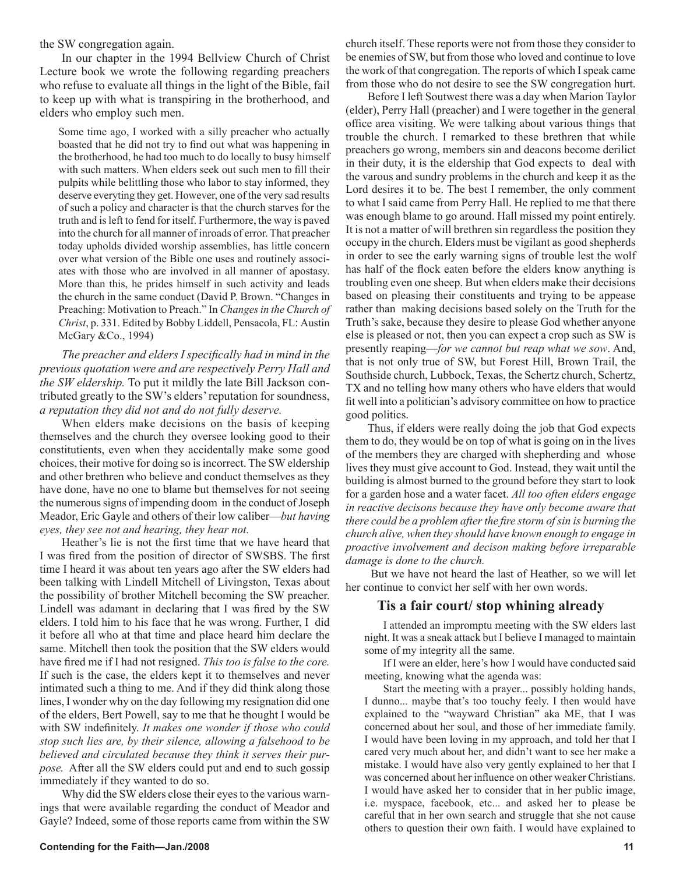the SW congregation again.

In our chapter in the 1994 Bellview Church of Christ Lecture book we wrote the following regarding preachers who refuse to evaluate all things in the light of the Bible, fail to keep up with what is transpiring in the brotherhood, and elders who employ such men.

Some time ago, I worked with a silly preacher who actually boasted that he did not try to find out what was happening in the brotherhood, he had too much to do locally to busy himself with such matters. When elders seek out such men to fill their pulpits while belittling those who labor to stay informed, they deserve everyting they get. However, one of the very sad results of such a policy and character is that the church starves for the truth and is left to fend for itself. Furthermore, the way is paved into the church for all manner of inroads of error. That preacher today upholds divided worship assemblies, has little concern over what version of the Bible one uses and routinely associates with those who are involved in all manner of apostasy. More than this, he prides himself in such activity and leads the church in the same conduct (David P. Brown. "Changes in Preaching: Motivation to Preach." In *Changes in the Church of Christ*, p. 331. Edited by Bobby Liddell, Pensacola, FL: Austin McGary &Co., 1994)

*The preacher and elders I specifically had in mind in the previous quotation were and are respectively Perry Hall and the SW eldership.* To put it mildly the late Bill Jackson contributed greatly to the SW's elders' reputation for soundness, *a reputation they did not and do not fully deserve.*

When elders make decisions on the basis of keeping themselves and the church they oversee looking good to their constitutients, even when they accidentally make some good choices, their motive for doing so is incorrect. The SW eldership and other brethren who believe and conduct themselves as they have done, have no one to blame but themselves for not seeing the numerous signs of impending doom in the conduct of Joseph Meador, Eric Gayle and others of their low caliber—*but having eyes, they see not and hearing, they hear not.*

Heather's lie is not the first time that we have heard that I was fired from the position of director of SWSBS. The first time I heard it was about ten years ago after the SW elders had been talking with Lindell Mitchell of Livingston, Texas about the possibility of brother Mitchell becoming the SW preacher. Lindell was adamant in declaring that I was fired by the SW elders. I told him to his face that he was wrong. Further, I did it before all who at that time and place heard him declare the same. Mitchell then took the position that the SW elders would have fired me if I had not resigned. *This too is false to the core.* If such is the case, the elders kept it to themselves and never intimated such a thing to me. And if they did think along those lines, I wonder why on the day following my resignation did one of the elders, Bert Powell, say to me that he thought I would be with SW indefinitely. *It makes one wonder if those who could stop such lies are, by their silence, allowing a falsehood to be believed and circulated because they think it serves their purpose.* After all the SW elders could put and end to such gossip immediately if they wanted to do so.

Why did the SW elders close their eyes to the various warnings that were available regarding the conduct of Meador and Gayle? Indeed, some of those reports came from within the SW

church itself. These reports were not from those they consider to be enemies of SW, but from those who loved and continue to love the work of that congregation. The reports of which I speak came from those who do not desire to see the SW congregation hurt.

Before I left Soutwest there was a day when Marion Taylor (elder), Perry Hall (preacher) and I were together in the general office area visiting. We were talking about various things that trouble the church. I remarked to these brethren that while preachers go wrong, members sin and deacons become derilict in their duty, it is the eldership that God expects to deal with the varous and sundry problems in the church and keep it as the Lord desires it to be. The best I remember, the only comment to what I said came from Perry Hall. He replied to me that there was enough blame to go around. Hall missed my point entirely. It is not a matter of will brethren sin regardless the position they occupy in the church. Elders must be vigilant as good shepherds in order to see the early warning signs of trouble lest the wolf has half of the flock eaten before the elders know anything is troubling even one sheep. But when elders make their decisions based on pleasing their constituents and trying to be appease rather than making decisions based solely on the Truth for the Truth's sake, because they desire to please God whether anyone else is pleased or not, then you can expect a crop such as SW is presently reaping—*for we cannot but reap what we sow*. And, that is not only true of SW, but Forest Hill, Brown Trail, the Southside church, Lubbock, Texas, the Schertz church, Schertz, TX and no telling how many others who have elders that would fit well into a politician's advisory committee on how to practice good politics.

Thus, if elders were really doing the job that God expects them to do, they would be on top of what is going on in the lives of the members they are charged with shepherding and whose lives they must give account to God. Instead, they wait until the building is almost burned to the ground before they start to look for a garden hose and a water facet. *All too often elders engage in reactive decisons because they have only become aware that there could be a problem after the fire storm of sin is burning the church alive, when they should have known enough to engage in proactive involvement and decison making before irreparable damage is done to the church.*

 But we have not heard the last of Heather, so we will let her continue to convict her self with her own words.

#### **Tis a fair court/ stop whining already**

I attended an impromptu meeting with the SW elders last night. It was a sneak attack but I believe I managed to maintain some of my integrity all the same.

If I were an elder, here's how I would have conducted said meeting, knowing what the agenda was:

Start the meeting with a prayer... possibly holding hands, I dunno... maybe that's too touchy feely. I then would have explained to the "wayward Christian" aka ME, that I was concerned about her soul, and those of her immediate family. I would have been loving in my approach, and told her that I cared very much about her, and didn't want to see her make a mistake. I would have also very gently explained to her that I was concerned about her influence on other weaker Christians. I would have asked her to consider that in her public image, i.e. myspace, facebook, etc... and asked her to please be careful that in her own search and struggle that she not cause others to question their own faith. I would have explained to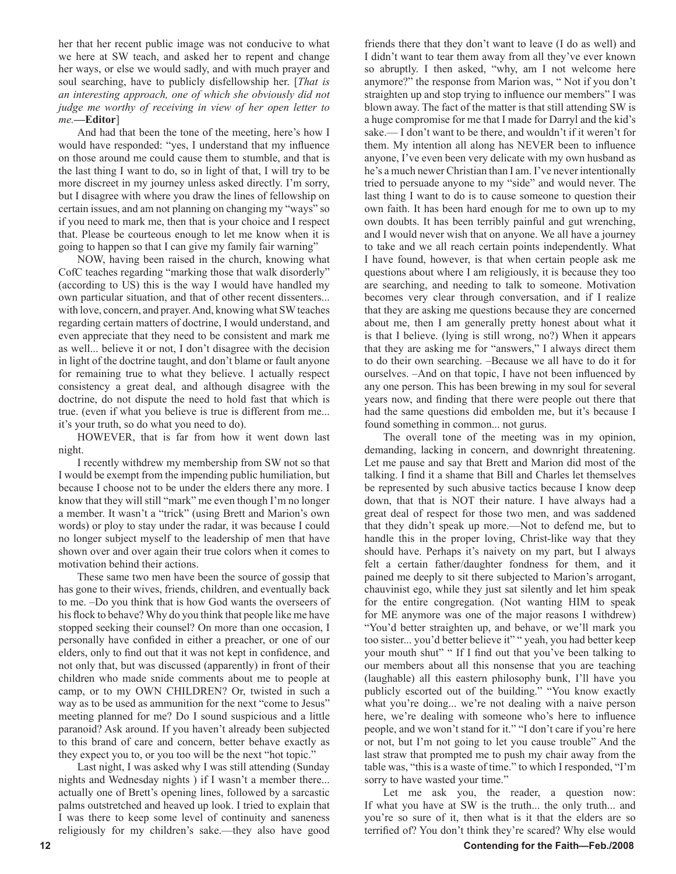her that her recent public image was not conducive to what we here at SW teach, and asked her to repent and change her ways, or else we would sadly, and with much prayer and soul searching, have to publicly disfellowship her. [*That is an interesting approach, one of which she obviously did not judge me worthy of receiving in view of her open letter to me.***—Editor**]

And had that been the tone of the meeting, here's how I would have responded: "yes, I understand that my influence on those around me could cause them to stumble, and that is the last thing I want to do, so in light of that, I will try to be more discreet in my journey unless asked directly. I'm sorry, but I disagree with where you draw the lines of fellowship on certain issues, and am not planning on changing my "ways" so if you need to mark me, then that is your choice and I respect that. Please be courteous enough to let me know when it is going to happen so that I can give my family fair warning"

NOW, having been raised in the church, knowing what CofC teaches regarding "marking those that walk disorderly" (according to US) this is the way I would have handled my own particular situation, and that of other recent dissenters... with love, concern, and prayer. And, knowing what SW teaches regarding certain matters of doctrine, I would understand, and even appreciate that they need to be consistent and mark me as well... believe it or not, I don't disagree with the decision in light of the doctrine taught, and don't blame or fault anyone for remaining true to what they believe. I actually respect consistency a great deal, and although disagree with the doctrine, do not dispute the need to hold fast that which is true. (even if what you believe is true is different from me... it's your truth, so do what you need to do).

HOWEVER, that is far from how it went down last night.

I recently withdrew my membership from SW not so that I would be exempt from the impending public humiliation, but because I choose not to be under the elders there any more. I know that they will still "mark" me even though I'm no longer a member. It wasn't a "trick" (using Brett and Marion's own words) or ploy to stay under the radar, it was because I could no longer subject myself to the leadership of men that have shown over and over again their true colors when it comes to motivation behind their actions.

These same two men have been the source of gossip that has gone to their wives, friends, children, and eventually back to me. –Do you think that is how God wants the overseers of his flock to behave? Why do you think that people like me have stopped seeking their counsel? On more than one occasion, I personally have confided in either a preacher, or one of our elders, only to find out that it was not kept in confidence, and not only that, but was discussed (apparently) in front of their children who made snide comments about me to people at camp, or to my OWN CHILDREN? Or, twisted in such a way as to be used as ammunition for the next "come to Jesus" meeting planned for me? Do I sound suspicious and a little paranoid? Ask around. If you haven't already been subjected to this brand of care and concern, better behave exactly as they expect you to, or you too will be the next "hot topic."

Last night, I was asked why I was still attending (Sunday nights and Wednesday nights ) if I wasn't a member there... actually one of Brett's opening lines, followed by a sarcastic palms outstretched and heaved up look. I tried to explain that I was there to keep some level of continuity and saneness religiously for my children's sake.—they also have good

friends there that they don't want to leave (I do as well) and I didn't want to tear them away from all they've ever known so abruptly. I then asked, "why, am I not welcome here anymore?" the response from Marion was, " Not if you don't straighten up and stop trying to influence our members" I was blown away. The fact of the matter is that still attending SW is a huge compromise for me that I made for Darryl and the kid's sake.— I don't want to be there, and wouldn't if it weren't for them. My intention all along has NEVER been to influence anyone, I've even been very delicate with my own husband as he's a much newer Christian than I am. I've never intentionally tried to persuade anyone to my "side" and would never. The last thing I want to do is to cause someone to question their own faith. It has been hard enough for me to own up to my own doubts. It has been terribly painful and gut wrenching, and I would never wish that on anyone. We all have a journey to take and we all reach certain points independently. What I have found, however, is that when certain people ask me questions about where I am religiously, it is because they too are searching, and needing to talk to someone. Motivation becomes very clear through conversation, and if I realize that they are asking me questions because they are concerned about me, then I am generally pretty honest about what it is that I believe. (lying is still wrong, no?) When it appears that they are asking me for "answers," I always direct them to do their own searching. –Because we all have to do it for ourselves. –And on that topic, I have not been influenced by any one person. This has been brewing in my soul for several years now, and finding that there were people out there that had the same questions did embolden me, but it's because I found something in common... not gurus.

The overall tone of the meeting was in my opinion, demanding, lacking in concern, and downright threatening. Let me pause and say that Brett and Marion did most of the talking. I find it a shame that Bill and Charles let themselves be represented by such abusive tactics because I know deep down, that that is NOT their nature. I have always had a great deal of respect for those two men, and was saddened that they didn't speak up more.—Not to defend me, but to handle this in the proper loving, Christ-like way that they should have. Perhaps it's naivety on my part, but I always felt a certain father/daughter fondness for them, and it pained me deeply to sit there subjected to Marion's arrogant, chauvinist ego, while they just sat silently and let him speak for the entire congregation. (Not wanting HIM to speak for ME anymore was one of the major reasons I withdrew) "You'd better straighten up, and behave, or we'll mark you too sister... you'd better believe it" " yeah, you had better keep your mouth shut" " If I find out that you've been talking to our members about all this nonsense that you are teaching (laughable) all this eastern philosophy bunk, I'll have you publicly escorted out of the building." "You know exactly what you're doing... we're not dealing with a naive person here, we're dealing with someone who's here to influence people, and we won't stand for it." "I don't care if you're here or not, but I'm not going to let you cause trouble" And the last straw that prompted me to push my chair away from the table was, "this is a waste of time." to which I responded, "I'm sorry to have wasted your time."

Let me ask you, the reader, a question now: If what you have at SW is the truth... the only truth... and you're so sure of it, then what is it that the elders are so terrified of? You don't think they're scared? Why else would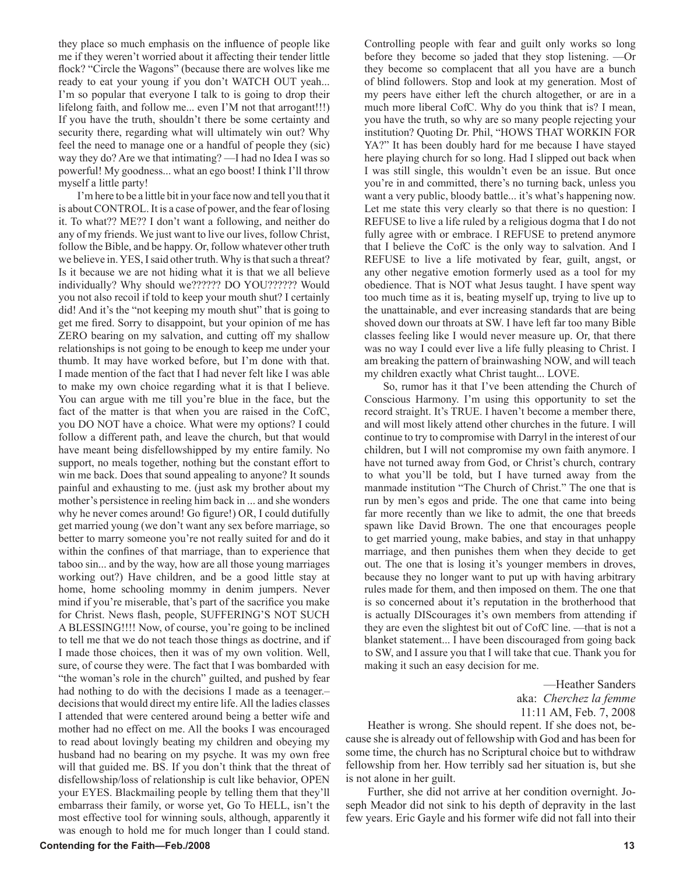they place so much emphasis on the influence of people like me if they weren't worried about it affecting their tender little flock? "Circle the Wagons" (because there are wolves like me ready to eat your young if you don't WATCH OUT yeah... I'm so popular that everyone I talk to is going to drop their lifelong faith, and follow me... even I'M not that arrogant!!!) If you have the truth, shouldn't there be some certainty and security there, regarding what will ultimately win out? Why feel the need to manage one or a handful of people they (sic) way they do? Are we that intimating? —I had no Idea I was so powerful! My goodness... what an ego boost! I think I'll throw myself a little party!

I'm here to be a little bit in your face now and tell you that it is about CONTROL. It is a case of power, and the fear of losing it. To what?? ME?? I don't want a following, and neither do any of my friends. We just want to live our lives, follow Christ, follow the Bible, and be happy. Or, follow whatever other truth we believe in. YES, I said other truth. Why is that such a threat? Is it because we are not hiding what it is that we all believe individually? Why should we?????? DO YOU?????? Would you not also recoil if told to keep your mouth shut? I certainly did! And it's the "not keeping my mouth shut" that is going to get me fired. Sorry to disappoint, but your opinion of me has ZERO bearing on my salvation, and cutting off my shallow relationships is not going to be enough to keep me under your thumb. It may have worked before, but I'm done with that. I made mention of the fact that I had never felt like I was able to make my own choice regarding what it is that I believe. You can argue with me till you're blue in the face, but the fact of the matter is that when you are raised in the CofC, you DO NOT have a choice. What were my options? I could follow a different path, and leave the church, but that would have meant being disfellowshipped by my entire family. No support, no meals together, nothing but the constant effort to win me back. Does that sound appealing to anyone? It sounds painful and exhausting to me. (just ask my brother about my mother's persistence in reeling him back in ... and she wonders why he never comes around! Go figure!) OR, I could dutifully get married young (we don't want any sex before marriage, so better to marry someone you're not really suited for and do it within the confines of that marriage, than to experience that taboo sin... and by the way, how are all those young marriages working out?) Have children, and be a good little stay at home, home schooling mommy in denim jumpers. Never mind if you're miserable, that's part of the sacrifice you make for Christ. News flash, people, SUFFERING'S NOT SUCH A BLESSING!!!! Now, of course, you're going to be inclined to tell me that we do not teach those things as doctrine, and if I made those choices, then it was of my own volition. Well, sure, of course they were. The fact that I was bombarded with "the woman's role in the church" guilted, and pushed by fear had nothing to do with the decisions I made as a teenager.decisions that would direct my entire life. All the ladies classes I attended that were centered around being a better wife and mother had no effect on me. All the books I was encouraged to read about lovingly beating my children and obeying my husband had no bearing on my psyche. It was my own free will that guided me. BS. If you don't think that the threat of disfellowship/loss of relationship is cult like behavior, OPEN your EYES. Blackmailing people by telling them that they'll embarrass their family, or worse yet, Go To HELL, isn't the most effective tool for winning souls, although, apparently it was enough to hold me for much longer than I could stand.

Controlling people with fear and guilt only works so long before they become so jaded that they stop listening. —Or they become so complacent that all you have are a bunch of blind followers. Stop and look at my generation. Most of my peers have either left the church altogether, or are in a much more liberal CofC. Why do you think that is? I mean, you have the truth, so why are so many people rejecting your institution? Quoting Dr. Phil, "HOWS THAT WORKIN FOR YA?" It has been doubly hard for me because I have stayed here playing church for so long. Had I slipped out back when I was still single, this wouldn't even be an issue. But once you're in and committed, there's no turning back, unless you want a very public, bloody battle... it's what's happening now. Let me state this very clearly so that there is no question: I REFUSE to live a life ruled by a religious dogma that I do not fully agree with or embrace. I REFUSE to pretend anymore that I believe the CofC is the only way to salvation. And I REFUSE to live a life motivated by fear, guilt, angst, or any other negative emotion formerly used as a tool for my obedience. That is NOT what Jesus taught. I have spent way too much time as it is, beating myself up, trying to live up to the unattainable, and ever increasing standards that are being shoved down our throats at SW. I have left far too many Bible classes feeling like I would never measure up. Or, that there was no way I could ever live a life fully pleasing to Christ. I am breaking the pattern of brainwashing NOW, and will teach my children exactly what Christ taught... LOVE.

So, rumor has it that I've been attending the Church of Conscious Harmony. I'm using this opportunity to set the record straight. It's TRUE. I haven't become a member there, and will most likely attend other churches in the future. I will continue to try to compromise with Darryl in the interest of our children, but I will not compromise my own faith anymore. I have not turned away from God, or Christ's church, contrary to what you'll be told, but I have turned away from the manmade institution "The Church of Christ." The one that is run by men's egos and pride. The one that came into being far more recently than we like to admit, the one that breeds spawn like David Brown. The one that encourages people to get married young, make babies, and stay in that unhappy marriage, and then punishes them when they decide to get out. The one that is losing it's younger members in droves, because they no longer want to put up with having arbitrary rules made for them, and then imposed on them. The one that is so concerned about it's reputation in the brotherhood that is actually DIScourages it's own members from attending if they are even the slightest bit out of CofC line. —that is not a blanket statement... I have been discouraged from going back to SW, and I assure you that I will take that cue. Thank you for making it such an easy decision for me.

#### —Heather Sanders aka: *Cherchez la femme* 11:11 AM, Feb. 7, 2008

Heather is wrong. She should repent. If she does not, because she is already out of fellowship with God and has been for some time, the church has no Scriptural choice but to withdraw fellowship from her. How terribly sad her situation is, but she is not alone in her guilt.

Further, she did not arrive at her condition overnight. Joseph Meador did not sink to his depth of depravity in the last few years. Eric Gayle and his former wife did not fall into their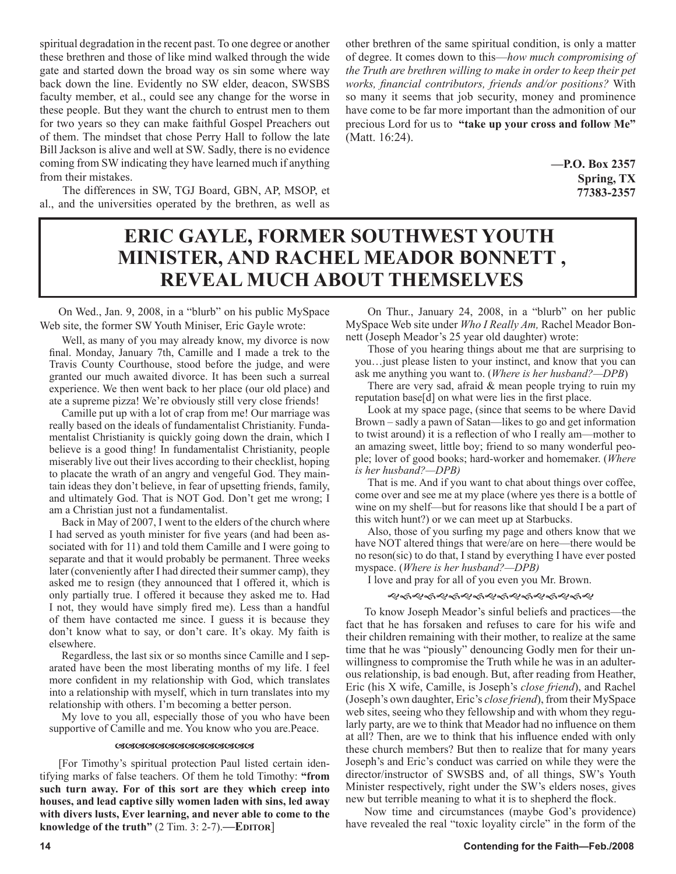spiritual degradation in the recent past. To one degree or another these brethren and those of like mind walked through the wide gate and started down the broad way os sin some where way back down the line. Evidently no SW elder, deacon, SWSBS faculty member, et al., could see any change for the worse in these people. But they want the church to entrust men to them for two years so they can make faithful Gospel Preachers out of them. The mindset that chose Perry Hall to follow the late Bill Jackson is alive and well at SW. Sadly, there is no evidence coming from SW indicating they have learned much if anything from their mistakes.

The differences in SW, TGJ Board, GBN, AP, MSOP, et al., and the universities operated by the brethren, as well as

other brethren of the same spiritual condition, is only a matter of degree. It comes down to this—*how much compromising of the Truth are brethren willing to make in order to keep their pet works, financial contributors, friends and/or positions?* With so many it seems that job security, money and prominence have come to be far more important than the admonition of our precious Lord for us to **"take up your cross and follow Me"** (Matt. 16:24).

> **—P.O. Box 2357 Spring, TX 77383-2357**

## **ERIC GAYLE, FORMER SOUTHWEST YOUTH MINISTER, AND RACHEL MEADOR BONNETT , REVEAL MUCH ABOUT THEMSELVES**

On Wed., Jan. 9, 2008, in a "blurb" on his public MySpace Web site, the former SW Youth Miniser, Eric Gayle wrote:

Well, as many of you may already know, my divorce is now final. Monday, January 7th, Camille and I made a trek to the Travis County Courthouse, stood before the judge, and were granted our much awaited divorce. It has been such a surreal experience. We then went back to her place (our old place) and ate a supreme pizza! We're obviously still very close friends!

Camille put up with a lot of crap from me! Our marriage was really based on the ideals of fundamentalist Christianity. Fundamentalist Christianity is quickly going down the drain, which I believe is a good thing! In fundamentalist Christianity, people miserably live out their lives according to their checklist, hoping to placate the wrath of an angry and vengeful God. They maintain ideas they don't believe, in fear of upsetting friends, family, and ultimately God. That is NOT God. Don't get me wrong; I am a Christian just not a fundamentalist.

Back in May of 2007, I went to the elders of the church where I had served as youth minister for five years (and had been associated with for 11) and told them Camille and I were going to separate and that it would probably be permanent. Three weeks later (conveniently after I had directed their summer camp), they asked me to resign (they announced that I offered it, which is only partially true. I offered it because they asked me to. Had I not, they would have simply fired me). Less than a handful of them have contacted me since. I guess it is because they don't know what to say, or don't care. It's okay. My faith is elsewhere.

Regardless, the last six or so months since Camille and I separated have been the most liberating months of my life. I feel more confident in my relationship with God, which translates into a relationship with myself, which in turn translates into my relationship with others. I'm becoming a better person.

My love to you all, especially those of you who have been supportive of Camille and me. You know who you are.Peace.

#### <u>RARARARARARARARARA</u>

[For Timothy's spiritual protection Paul listed certain identifying marks of false teachers. Of them he told Timothy: **"from such turn away. For of this sort are they which creep into houses, and lead captive silly women laden with sins, led away with divers lusts, Ever learning, and never able to come to the knowledge of the truth"** (2 Tim. 3: 2-7).**—EDITOR**]

On Thur., January 24, 2008, in a "blurb" on her public MySpace Web site under *Who I Really Am,* Rachel Meador Bonnett (Joseph Meador's 25 year old daughter) wrote:

Those of you hearing things about me that are surprising to you…just please listen to your instinct, and know that you can ask me anything you want to. (*Where is her husband?—DPB*)

There are very sad, afraid  $&$  mean people trying to ruin my reputation base[d] on what were lies in the first place.

Look at my space page, (since that seems to be where David Brown – sadly a pawn of Satan—likes to go and get information to twist around) it is a reflection of who I really am—mother to an amazing sweet, little boy; friend to so many wonderful people; lover of good books; hard-worker and homemaker. (*Where is her husband?—DPB)*

That is me. And if you want to chat about things over coffee, come over and see me at my place (where yes there is a bottle of wine on my shelf—but for reasons like that should I be a part of this witch hunt?) or we can meet up at Starbucks.

Also, those of you surfing my page and others know that we have NOT altered things that were/are on here—there would be no reson(sic) to do that, I stand by everything I have ever posted myspace. (*Where is her husband?—DPB)*

I love and pray for all of you even you Mr. Brown.

#### 

To know Joseph Meador's sinful beliefs and practices—the fact that he has forsaken and refuses to care for his wife and their children remaining with their mother, to realize at the same time that he was "piously" denouncing Godly men for their unwillingness to compromise the Truth while he was in an adulterous relationship, is bad enough. But, after reading from Heather, Eric (his X wife, Camille, is Joseph's *close friend*), and Rachel (Joseph's own daughter, Eric's *close friend*), from their MySpace web sites, seeing who they fellowship and with whom they regularly party, are we to think that Meador had no influence on them at all? Then, are we to think that his influence ended with only these church members? But then to realize that for many years Joseph's and Eric's conduct was carried on while they were the director/instructor of SWSBS and, of all things, SW's Youth Minister respectively, right under the SW's elders noses, gives new but terrible meaning to what it is to shepherd the flock.

Now time and circumstances (maybe God's providence) have revealed the real "toxic loyality circle" in the form of the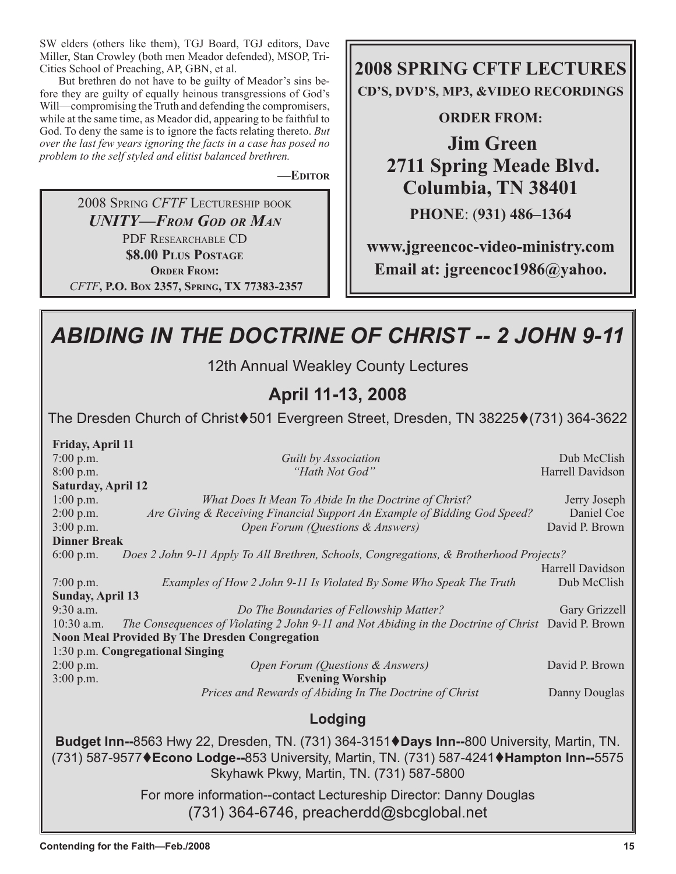SW elders (others like them), TGJ Board, TGJ editors, Dave Miller, Stan Crowley (both men Meador defended), MSOP, Tri-Cities School of Preaching, AP, GBN, et al.

But brethren do not have to be guilty of Meador's sins before they are guilty of equally heinous transgressions of God's Will—compromising the Truth and defending the compromisers, while at the same time, as Meador did, appearing to be faithful to God. To deny the same is to ignore the facts relating thereto. *But over the last few years ignoring the facts in a case has posed no problem to the self styled and elitist balanced brethren.*

**—EDITOR**

2008 SPRING *CFTF* LECTURESHIP BOOK *UNITY—FROM GOD OR MAN* PDF RESEARCHABLE CD **\$8.00 PLUS POSTAGE ORDER FROM:**  *CFTF***, P.O. BOX 2357, SPRING, TX 77383-2357** **2008 SPRING CFTF LECTURES CD'S, DVD'S, MP3, &VIDEO RECORDINGS** 

### **ORDER FROM:**

**Jim Green 2711 Spring Meade Blvd. Columbia, TN 38401 PHONE**: (**931) 486–1364**

**www.jgreencoc-video-ministry.com Email at: jgreencoc1986@yahoo.**

### *ABIDING IN THE DOCTRINE OF CHRIST -- 2 JOHN 9-11* 12th Annual Weakley County Lectures **April 11-13, 2008** The Dresden Church of Christ♦501 Evergreen Street, Dresden, TN 38225♦(731) 364-3622 **Friday, April 11** 7:00 p.m. *Guilt by Association* Dub McClish 8:00 p.m. *Path Not God"* Harrell Davidson *Path Not God"* Harrell Davidson **Saturday, April 12** 1:00 p.m. *What Does It Mean To Abide In the Doctrine of Christ?* Jerry Joseph 2:00 p.m. *Are Giving & Receiving Financial Support An Example of Bidding God Speed?* Daniel Coe 3:00 p.m. *Open Forum (Questions & Answers)* David P. Brown **Dinner Break** 6:00 p.m. *Does 2 John 9-11 Apply To All Brethren, Schools, Congregations, & Brotherhood Projects?* Harrell Davidson 7:00 p.m. *Examples of How 2 John 9-11 Is Violated By Some Who Speak The Truth* **Sunday, April 13** 9:30 a.m. *Do The Boundaries of Fellowship Matter?* Gary Grizzell 10:30 a.m. *The Consequences of Violating 2 John 9-11 and Not Abiding in the Doctrine of Christ* David P. Brown **Noon Meal Provided By The Dresden Congregation** 1:30 p.m. **Congregational Singing** 2:00 p.m. *Open Forum (Questions & Answers)* David P. Brown 3:00 p.m. **Evening Worship** *Prices and Rewards of Abiding In The Doctrine of Christ* Danny Douglas **Lodging Budget Inn--**8563 Hwy 22, Dresden, TN. (731) 364-3151♦ Days Inn--800 University, Martin, TN. (731) 587-9577**Econo Lodge--**853 University, Martin, TN. (731) 587-4241**Hampton Inn--**5575 Skyhawk Pkwy, Martin, TN. (731) 587-5800

For more information--contact Lectureship Director: Danny Douglas (731) 364-6746, preacherdd@sbcglobal.net